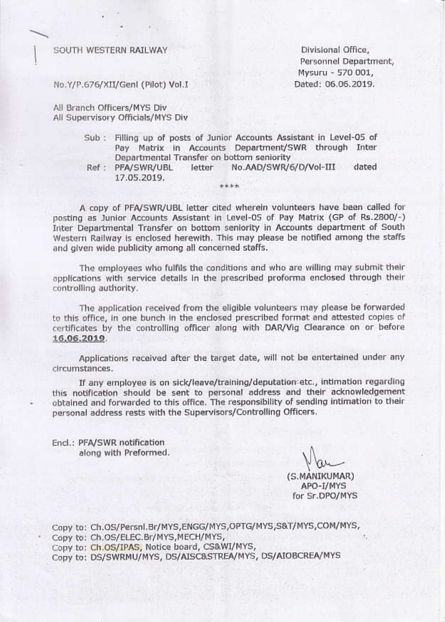#### SOUTH WESTERN RAILWAY

Divisional Office, Personnel Department, Mysuru - 570 001, Dated: 06.06.2019.

No.Y/P.676/XII/Genl (Pilot) Vol.I

All Branch Officers/MYS Div All Supervisory Officials/MYS Div

- Sub : Filling up of posts of Junior Accounts Assistant in Level-05 of Pay Matrix in Accounts Department/SWR through Inter Departmental Transfer on bottom seniority
- Ref :
- PFA/SWR/UBL letter No.AAD/SWR/6/D/Vol-III dated

17.05.2019. \*\*\*\* A copy of PFA/SWR/UBL letter cited wherein volunteers have been called for

posting as Junior Accounts Assistant in Level-05 of Pay Matrix (GP of Rs.2800/-) Inter Departmental Transfer on bottom seniority in Accounts department of South Western Railway is enclosed herewith. This may please be notified among the staffs and given wide publicity among all concerned staffs.

The employees who fulfils the conditions and who are willing may submit their applications with service details in the prescribed proforma enclosed through their controlling authority.

The application received from the eligible volunteers may please be forwarded to this office, in one bunch in the enclosed prescribed format and attested copies of certificates by the controlling officer along with DAR/Vig Clearance on or before 16.06.2019.

Applications received after the target date, will not be entertained under any circumstances.

If any employee is on sick/leave/training/deputation etc., intimation regarding this notification should be sent to personal address and their acknowledgement obtained and forwarded to this office. The responsibility of sending intimation to their personal address rests with the Supervisors/Controlling Officers.

Encl.: PFA/SWR notification along with Preformed.

(S.MANIKUMAR) APO-I/MYS for Sr.DPO/MYS

Copy to: Ch.OS/Persnl.Br/MYS,ENGG/MYS,OPTG/MYS,S&T/MYS,COM/MYS, Copy to: Ch.OS/ELEC.Br/MYS,MECH/MYS, Copy to: Ch.OS/IPAS, Notice board, CS&WI/MYS, Copy to: DS/SWRMU/MYS, DS/AISC&STREA/MYS, DS/AIOBCREA/MYS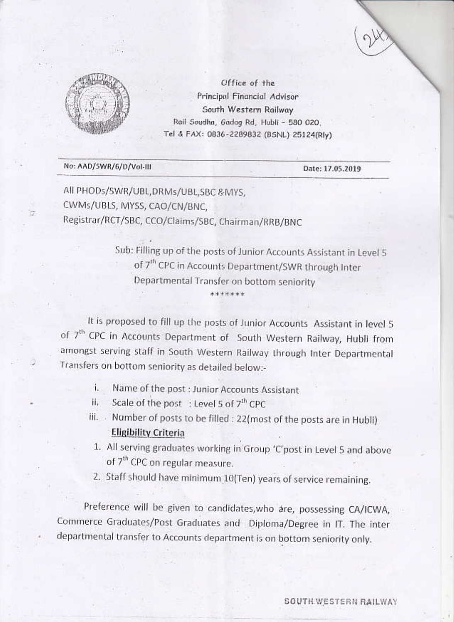



Office of the Principal Financial Advisor South Western Railway Rail Soudha, Gadag Rd, Hubli - 580 020. Tel & FAX: 0836-2289832 (BSNL) 25124(Rly)

### No: AAD/SWR/6/D/Vol-III

Date: 17.05.2019

All PHODs/SWR/UBL,DRMs/UBL,SBC & MYS, CWMs/UBLS, MYSS, CAO/CN/BNC, Registrar/RCT/SBC, CCO/Claims/SBC, Chairman/RRB/BNC

> Sub: Filling up of the posts of Junior Accounts Assistant in Level 5 of 7<sup>th</sup> CPC in Accounts Department/SWR through Inter Departmental Transfer on bottom seniority \*\*\*\*\*\*\*

It is proposed to fill up the posts of Junior Accounts Assistant in level 5 of 7<sup>th</sup> CPC in Accounts Department of South Western Railway, Hubli from amongst serving staff in South Western Railway through Inter Departmental Transfers on bottom seniority as detailed below:-

- Name of the post : Junior Accounts Assistant i.
- Scale of the post : Level 5 of 7<sup>th</sup> CPC ii.
- iii. Number of posts to be filled : 22(most of the posts are in Hubli) **Eligibility Criteria**
- 1. All serving graduates working in Group 'C'post in Level 5 and above of 7<sup>th</sup> CPC on regular measure.
- 2. Staff should have minimum 10(Ten) years of service remaining.

Preference will be given to candidates, who are, possessing CA/ICWA, Commerce Graduates/Post Graduates and Diploma/Degree in IT. The inter departmental transfer to Accounts department is on bottom seniority only.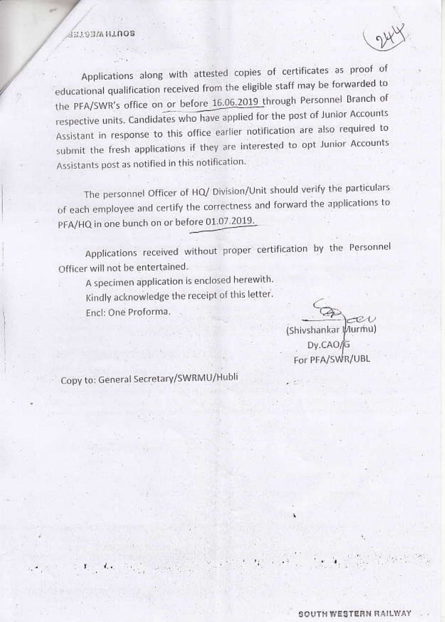## **BOUTH WESTEP**

Applications along with attested copies of certificates as proof of educational qualification received from the eligible staff may be forwarded to the PFA/SWR's office on or before 16.06.2019 through Personnel Branch of respective units. Candidates who have applied for the post of Junior Accounts Assistant in response to this office earlier notification are also required to submit the fresh applications if they are interested to opt Junior Accounts Assistants post as notified in this notification.

The personnel Officer of HQ/ Division/Unit should verify the particulars of each employee and certify the correctness and forward the applications to PFA/HQ in one bunch on or before 01.07.2019.

Applications received without proper certification by the Personnel Officer will not be entertained.

A specimen application is enclosed herewith. Kindly acknowledge the receipt of this letter. Encl: One Proforma.

(Shivshankar Murmu) Dy.CAO/G For PFA/SWR/UBL

Copy to: General Secretary/SWRMU/Hubli

 $\mathcal{L}_{\mathcal{F}_{\mathcal{F}}}$ 

 $\mathbf{r}$